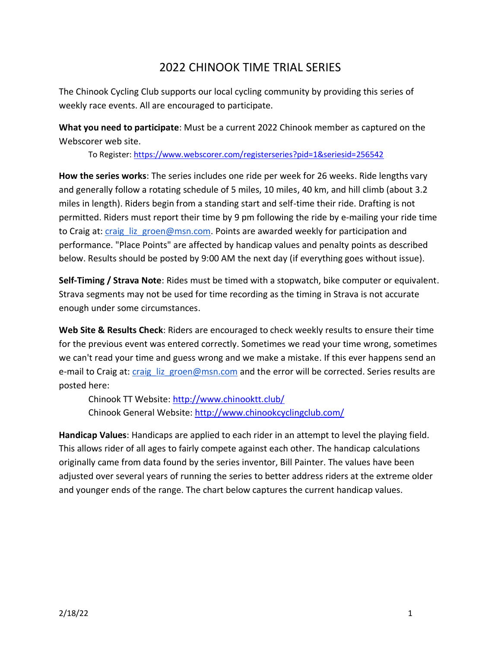# 2022 CHINOOK TIME TRIAL SERIES

The Chinook Cycling Club supports our local cycling community by providing this series of weekly race events. All are encouraged to participate.

**What you need to participate**: Must be a current 2022 Chinook member as captured on the Webscorer web site.

To Register: <https://www.webscorer.com/registerseries?pid=1&seriesid=256542>

**How the series works**: The series includes one ride per week for 26 weeks. Ride lengths vary and generally follow a rotating schedule of 5 miles, 10 miles, 40 km, and hill climb (about 3.2 miles in length). Riders begin from a standing start and self-time their ride. Drafting is not permitted. Riders must report their time by 9 pm following the ride by e-mailing your ride time to Craig at: craig liz groen@msn.com. Points are awarded weekly for participation and performance. "Place Points" are affected by handicap values and penalty points as described below. Results should be posted by 9:00 AM the next day (if everything goes without issue).

**Self-Timing / Strava Note**: Rides must be timed with a stopwatch, bike computer or equivalent. Strava segments may not be used for time recording as the timing in Strava is not accurate enough under some circumstances.

**Web Site & Results Check**: Riders are encouraged to check weekly results to ensure their time for the previous event was entered correctly. Sometimes we read your time wrong, sometimes we can't read your time and guess wrong and we make a mistake. If this ever happens send an e-mail to Craig at: craig liz groen@msn.com and the error will be corrected. Series results are posted here:

Chinook TT Website:<http://www.chinooktt.club/> Chinook General Website:<http://www.chinookcyclingclub.com/>

**Handicap Values**: Handicaps are applied to each rider in an attempt to level the playing field. This allows rider of all ages to fairly compete against each other. The handicap calculations originally came from data found by the series inventor, Bill Painter. The values have been adjusted over several years of running the series to better address riders at the extreme older and younger ends of the range. The chart below captures the current handicap values.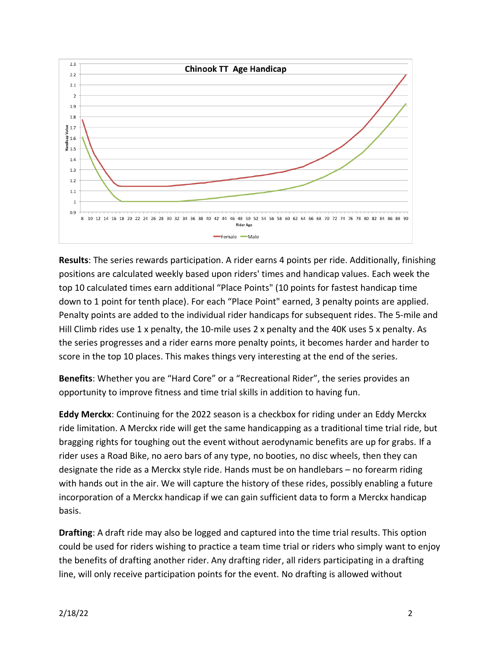

**Results**: The series rewards participation. A rider earns 4 points per ride. Additionally, finishing positions are calculated weekly based upon riders' times and handicap values. Each week the top 10 calculated times earn additional "Place Points" (10 points for fastest handicap time down to 1 point for tenth place). For each "Place Point" earned, 3 penalty points are applied. Penalty points are added to the individual rider handicaps for subsequent rides. The 5-mile and Hill Climb rides use 1 x penalty, the 10-mile uses 2 x penalty and the 40K uses 5 x penalty. As the series progresses and a rider earns more penalty points, it becomes harder and harder to score in the top 10 places. This makes things very interesting at the end of the series.

**Benefits**: Whether you are "Hard Core" or a "Recreational Rider", the series provides an opportunity to improve fitness and time trial skills in addition to having fun.

**Eddy Merckx**: Continuing for the 2022 season is a checkbox for riding under an Eddy Merckx ride limitation. A Merckx ride will get the same handicapping as a traditional time trial ride, but bragging rights for toughing out the event without aerodynamic benefits are up for grabs. If a rider uses a Road Bike, no aero bars of any type, no booties, no disc wheels, then they can designate the ride as a Merckx style ride. Hands must be on handlebars – no forearm riding with hands out in the air. We will capture the history of these rides, possibly enabling a future incorporation of a Merckx handicap if we can gain sufficient data to form a Merckx handicap basis.

**Drafting**: A draft ride may also be logged and captured into the time trial results. This option could be used for riders wishing to practice a team time trial or riders who simply want to enjoy the benefits of drafting another rider. Any drafting rider, all riders participating in a drafting line, will only receive participation points for the event. No drafting is allowed without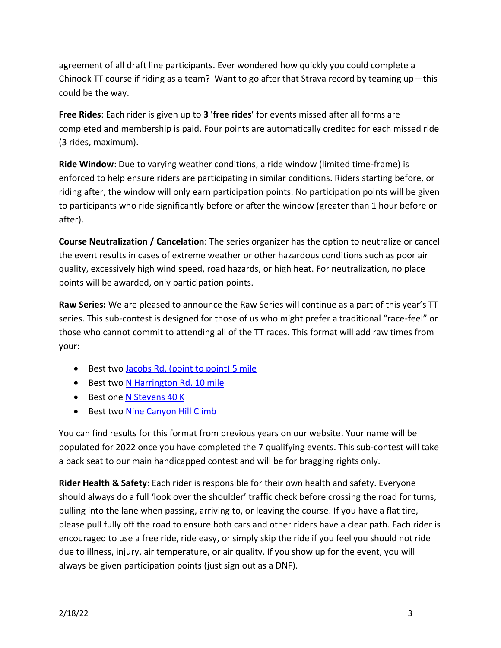agreement of all draft line participants. Ever wondered how quickly you could complete a Chinook TT course if riding as a team? Want to go after that Strava record by teaming up—this could be the way.

**Free Rides**: Each rider is given up to **3 'free rides'** for events missed after all forms are completed and membership is paid. Four points are automatically credited for each missed ride (3 rides, maximum).

**Ride Window**: Due to varying weather conditions, a ride window (limited time-frame) is enforced to help ensure riders are participating in similar conditions. Riders starting before, or riding after, the window will only earn participation points. No participation points will be given to participants who ride significantly before or after the window (greater than 1 hour before or after).

**Course Neutralization / Cancelation**: The series organizer has the option to neutralize or cancel the event results in cases of extreme weather or other hazardous conditions such as poor air quality, excessively high wind speed, road hazards, or high heat. For neutralization, no place points will be awarded, only participation points.

**Raw Series:** We are pleased to announce the Raw Series will continue as a part of this year's TT series. This sub-contest is designed for those of us who might prefer a traditional "race-feel" or those who cannot commit to attending all of the TT races. This format will add raw times from your:

- Best two [Jacobs Rd. \(point to point\) 5 mile](http://www.chinooktt.club/leaderboardcourse.php?c=5jp)
- Best two [N Harrington Rd. 10 mile](http://www.chinooktt.club/leaderboardcourse.php?c=10h2)
- Best one [N Stevens 40 K](http://www.chinooktt.club/leaderboardcourse.php?c=40s3)
- Best two [Nine Canyon Hill Climb](http://www.chinooktt.club/leaderboardcourse.php?c=H92)

You can find results for this format from previous years on our website. Your name will be populated for 2022 once you have completed the 7 qualifying events. This sub-contest will take a back seat to our main handicapped contest and will be for bragging rights only.

**Rider Health & Safety**: Each rider is responsible for their own health and safety. Everyone should always do a full 'look over the shoulder' traffic check before crossing the road for turns, pulling into the lane when passing, arriving to, or leaving the course. If you have a flat tire, please pull fully off the road to ensure both cars and other riders have a clear path. Each rider is encouraged to use a free ride, ride easy, or simply skip the ride if you feel you should not ride due to illness, injury, air temperature, or air quality. If you show up for the event, you will always be given participation points (just sign out as a DNF).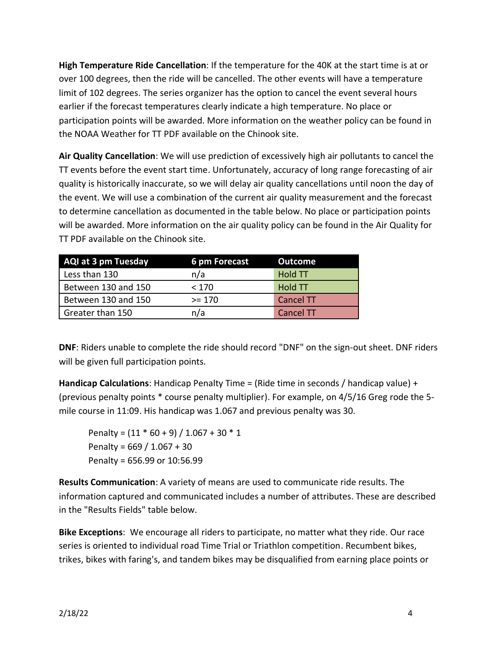**High Temperature Ride Cancellation**: If the temperature for the 40K at the start time is at or over 100 degrees, then the ride will be cancelled. The other events will have a temperature limit of 102 degrees. The series organizer has the option to cancel the event several hours earlier if the forecast temperatures clearly indicate a high temperature. No place or participation points will be awarded. More information on the weather policy can be found in the NOAA Weather for TT PDF available on the Chinook site.

**Air Quality Cancellation**: We will use prediction of excessively high air pollutants to cancel the TT events before the event start time. Unfortunately, accuracy of long range forecasting of air quality is historically inaccurate, so we will delay air quality cancellations until noon the day of the event. We will use a combination of the current air quality measurement and the forecast to determine cancellation as documented in the table below. No place or participation points will be awarded. More information on the air quality policy can be found in the Air Quality for TT PDF available on the Chinook site.

| <b>AQI at 3 pm Tuesday</b> | 6 pm Forecast | <b>Outcome</b>   |
|----------------------------|---------------|------------------|
| Less than 130              | n/a           | <b>Hold TT</b>   |
| Between 130 and 150        | < 170         | <b>Hold TT</b>   |
| Between 130 and 150        | $>= 170$      | <b>Cancel TT</b> |
| Greater than 150           | n/a           | <b>Cancel TT</b> |

**DNF**: Riders unable to complete the ride should record "DNF" on the sign-out sheet. DNF riders will be given full participation points.

**Handicap Calculations**: Handicap Penalty Time = (Ride time in seconds / handicap value) + (previous penalty points \* course penalty multiplier). For example, on 4/5/16 Greg rode the 5 mile course in 11:09. His handicap was 1.067 and previous penalty was 30.

Penalty =  $(11 * 60 + 9) / 1.067 + 30 * 1$ Penalty = 669 / 1.067 + 30 Penalty = 656.99 or 10:56.99

**Results Communication**: A variety of means are used to communicate ride results. The information captured and communicated includes a number of attributes. These are described in the "Results Fields" table below.

**Bike Exceptions**: We encourage all riders to participate, no matter what they ride. Our race series is oriented to individual road Time Trial or Triathlon competition. Recumbent bikes, trikes, bikes with faring's, and tandem bikes may be disqualified from earning place points or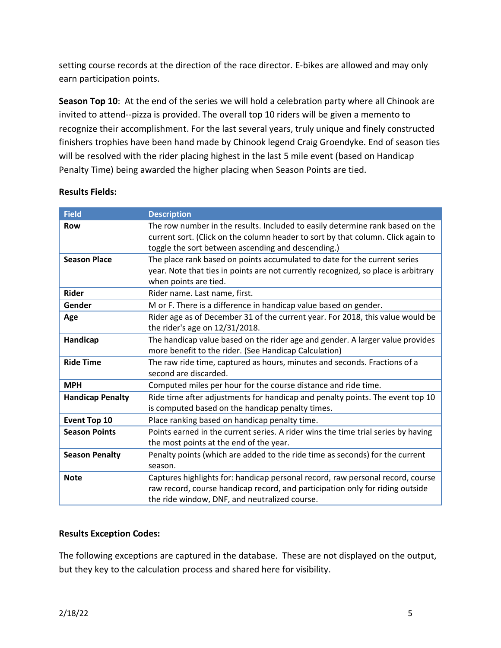setting course records at the direction of the race director. E-bikes are allowed and may only earn participation points.

**Season Top 10**: At the end of the series we will hold a celebration party where all Chinook are invited to attend--pizza is provided. The overall top 10 riders will be given a memento to recognize their accomplishment. For the last several years, truly unique and finely constructed finishers trophies have been hand made by Chinook legend Craig Groendyke. End of season ties will be resolved with the rider placing highest in the last 5 mile event (based on Handicap Penalty Time) being awarded the higher placing when Season Points are tied.

| <b>Field</b>            | <b>Description</b>                                                                                                                                                                                                      |
|-------------------------|-------------------------------------------------------------------------------------------------------------------------------------------------------------------------------------------------------------------------|
| <b>Row</b>              | The row number in the results. Included to easily determine rank based on the<br>current sort. (Click on the column header to sort by that column. Click again to<br>toggle the sort between ascending and descending.) |
| <b>Season Place</b>     | The place rank based on points accumulated to date for the current series<br>year. Note that ties in points are not currently recognized, so place is arbitrary<br>when points are tied.                                |
| <b>Rider</b>            | Rider name. Last name, first.                                                                                                                                                                                           |
| Gender                  | M or F. There is a difference in handicap value based on gender.                                                                                                                                                        |
| Age                     | Rider age as of December 31 of the current year. For 2018, this value would be<br>the rider's age on 12/31/2018.                                                                                                        |
| Handicap                | The handicap value based on the rider age and gender. A larger value provides<br>more benefit to the rider. (See Handicap Calculation)                                                                                  |
| <b>Ride Time</b>        | The raw ride time, captured as hours, minutes and seconds. Fractions of a<br>second are discarded.                                                                                                                      |
| <b>MPH</b>              | Computed miles per hour for the course distance and ride time.                                                                                                                                                          |
| <b>Handicap Penalty</b> | Ride time after adjustments for handicap and penalty points. The event top 10<br>is computed based on the handicap penalty times.                                                                                       |
| Event Top 10            | Place ranking based on handicap penalty time.                                                                                                                                                                           |
| <b>Season Points</b>    | Points earned in the current series. A rider wins the time trial series by having<br>the most points at the end of the year.                                                                                            |
| <b>Season Penalty</b>   | Penalty points (which are added to the ride time as seconds) for the current<br>season.                                                                                                                                 |
| <b>Note</b>             | Captures highlights for: handicap personal record, raw personal record, course<br>raw record, course handicap record, and participation only for riding outside<br>the ride window, DNF, and neutralized course.        |

#### **Results Fields:**

#### **Results Exception Codes:**

The following exceptions are captured in the database. These are not displayed on the output, but they key to the calculation process and shared here for visibility.